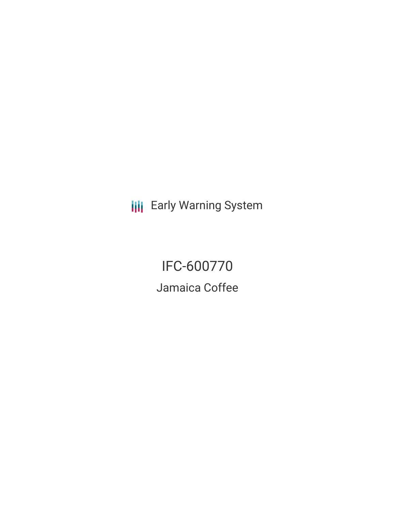**III** Early Warning System

IFC-600770 Jamaica Coffee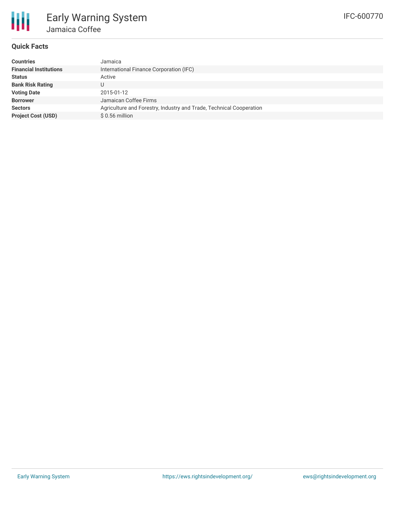

## **Quick Facts**

| <b>Countries</b>              | Jamaica                                                             |
|-------------------------------|---------------------------------------------------------------------|
| <b>Financial Institutions</b> | International Finance Corporation (IFC)                             |
| <b>Status</b>                 | Active                                                              |
| <b>Bank Risk Rating</b>       |                                                                     |
| <b>Voting Date</b>            | 2015-01-12                                                          |
| <b>Borrower</b>               | Jamaican Coffee Firms                                               |
| <b>Sectors</b>                | Agriculture and Forestry, Industry and Trade, Technical Cooperation |
| <b>Project Cost (USD)</b>     | $$0.56$ million                                                     |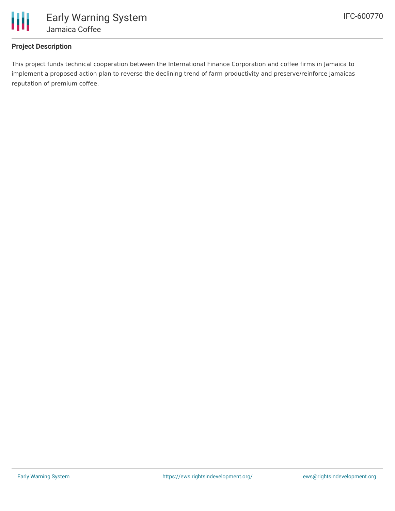

## **Project Description**

This project funds technical cooperation between the International Finance Corporation and coffee firms in Jamaica to implement a proposed action plan to reverse the declining trend of farm productivity and preserve/reinforce Jamaicas reputation of premium coffee.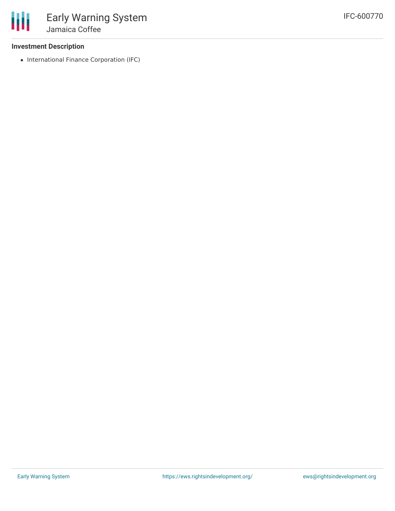

## **Investment Description**

• International Finance Corporation (IFC)